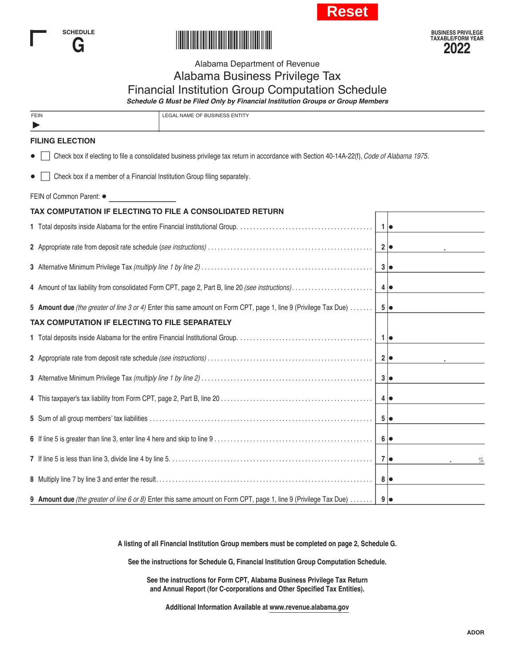





## Alabama Department of Revenue Alabama Business Privilege Tax Financial Institution Group Computation Schedule

*Schedule G Must be Filed Only by Financial Institution Groups or Group Members*

| FEIN | <b>LEGAL NAME OF BUSINESS ENTITY</b> |
|------|--------------------------------------|
|      |                                      |

## **FILING ELECTION**

 $\blacktriangleright$ 

• **Full check box if electing to file a consolidated business privilege tax return in accordance with Section 40-14A-22(f),** *Code of Alabama 1975***.** 

\*220003CP\*220003CP\*2

•  $\Box$  Check box if a member of a Financial Institution Group filing separately.

FEIN of Common Parent:  $\bullet$ 

| TAX COMPUTATION IF ELECTING TO FILE A CONSOLIDATED RETURN                                                                       |                  |   |
|---------------------------------------------------------------------------------------------------------------------------------|------------------|---|
|                                                                                                                                 |                  |   |
|                                                                                                                                 |                  |   |
|                                                                                                                                 |                  |   |
| 4 Amount of tax liability from consolidated Form CPT, page 2, Part B, line 20 (see instructions)  4                             |                  |   |
| 5 Amount due (the greater of line 3 or 4) Enter this same amount on Form CPT, page 1, line 9 (Privilege Tax Due)    5 $\bullet$ |                  |   |
| TAX COMPUTATION IF ELECTING TO FILE SEPARATELY                                                                                  |                  |   |
|                                                                                                                                 |                  |   |
|                                                                                                                                 |                  |   |
|                                                                                                                                 |                  |   |
|                                                                                                                                 |                  |   |
|                                                                                                                                 |                  |   |
|                                                                                                                                 | 6   ●            |   |
|                                                                                                                                 | $7\bullet$       | % |
|                                                                                                                                 | $8 \mid \bullet$ |   |
| 9 Amount due (the greater of line 6 or 8) Enter this same amount on Form CPT, page 1, line 9 (Privilege Tax Due)  9 $\bullet$   |                  |   |

**A listing of all Financial Institution Group members must be completed on page 2, Schedule G.**

**See the instructions for Schedule G, Financial Institution Group Computation Schedule.**

**See the instructions for Form CPT, Alabama Business Privilege Tax Return and Annual Report (for C-corporations and Other Specified Tax Entities).**

**Additional Information Available at www.revenue.alabama.gov**